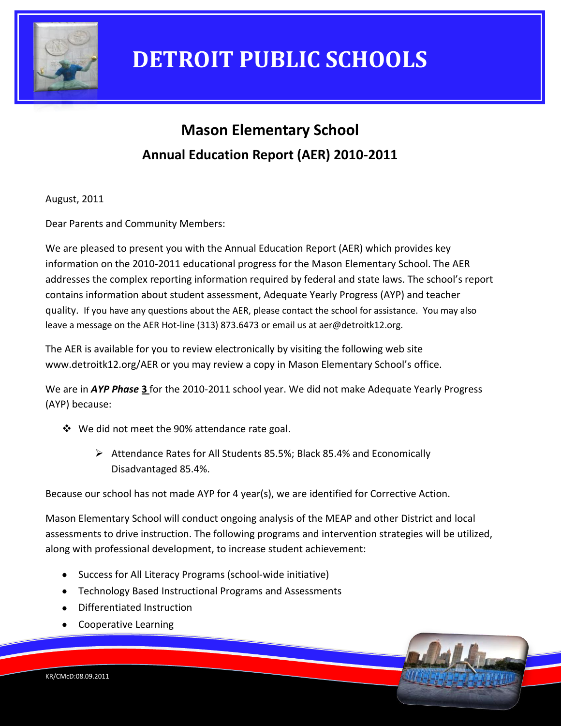

### **Mason Elementary School Annual Education Report (AER) 2010-2011**

August, 2011

Dear Parents and Community Members:

We are pleased to present you with the Annual Education Report (AER) which provides key information on the 2010-2011 educational progress for the Mason Elementary School. The AER addresses the complex reporting information required by federal and state laws. The school's report contains information about student assessment, Adequate Yearly Progress (AYP) and teacher quality. If you have any questions about the AER, please contact the school for assistance. You may also leave a message on the AER Hot-line (313) 873.6473 or email us at aer@detroitk12.org.

The AER is available for you to review electronically by visiting the following web site www.detroitk12.org/AER or you may review a copy in Mason Elementary School's office.

We are in *AYP Phase* **3** for the 2010-2011 school year. We did not make Adequate Yearly Progress (AYP) because:

- We did not meet the 90% attendance rate goal.
	- Attendance Rates for All Students 85.5%; Black 85.4% and Economically Disadvantaged 85.4%.

Because our school has not made AYP for 4 year(s), we are identified for Corrective Action.

Mason Elementary School will conduct ongoing analysis of the MEAP and other District and local assessments to drive instruction. The following programs and intervention strategies will be utilized, along with professional development, to increase student achievement:

- Success for All Literacy Programs (school-wide initiative)
- Technology Based Instructional Programs and Assessments
- Differentiated Instruction
- Cooperative Learning

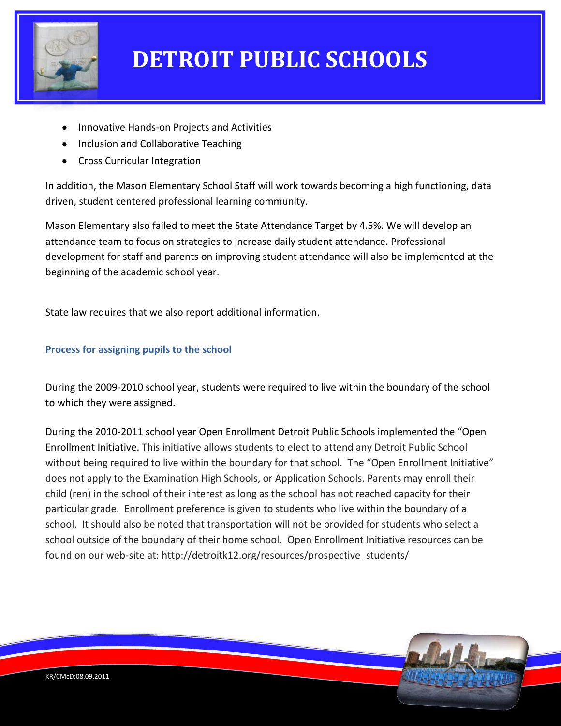

- Innovative Hands-on Projects and Activities
- Inclusion and Collaborative Teaching
- Cross Curricular Integration

In addition, the Mason Elementary School Staff will work towards becoming a high functioning, data driven, student centered professional learning community.

Mason Elementary also failed to meet the State Attendance Target by 4.5%. We will develop an attendance team to focus on strategies to increase daily student attendance. Professional development for staff and parents on improving student attendance will also be implemented at the beginning of the academic school year.

State law requires that we also report additional information.

### **Process for assigning pupils to the school**

During the 2009-2010 school year, students were required to live within the boundary of the school to which they were assigned.

During the 2010-2011 school year Open Enrollment Detroit Public Schools implemented the "Open Enrollment Initiative. This initiative allows students to elect to attend any Detroit Public School without being required to live within the boundary for that school. The "Open Enrollment Initiative" does not apply to the Examination High Schools, or Application Schools. Parents may enroll their child (ren) in the school of their interest as long as the school has not reached capacity for their particular grade. Enrollment preference is given to students who live within the boundary of a school. It should also be noted that transportation will not be provided for students who select a school outside of the boundary of their home school. Open Enrollment Initiative resources can be found on our web-site at: http://detroitk12.org/resources/prospective\_students/

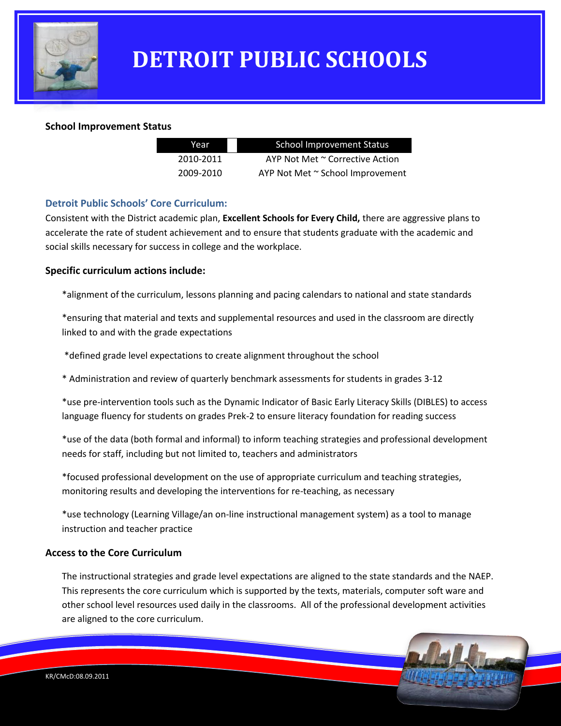

#### **School Improvement Status**

| Year      | <b>School Improvement Status</b> |
|-----------|----------------------------------|
| 2010-2011 | AYP Not Met ~ Corrective Action  |
| 2009-2010 | AYP Not Met ~ School Improvement |

#### **Detroit Public Schools' Core Curriculum:**

Consistent with the District academic plan, **Excellent Schools for Every Child,** there are aggressive plans to accelerate the rate of student achievement and to ensure that students graduate with the academic and social skills necessary for success in college and the workplace.

#### **Specific curriculum actions include:**

\*alignment of the curriculum, lessons planning and pacing calendars to national and state standards

\*ensuring that material and texts and supplemental resources and used in the classroom are directly linked to and with the grade expectations

\*defined grade level expectations to create alignment throughout the school

\* Administration and review of quarterly benchmark assessments for students in grades 3-12

\*use pre-intervention tools such as the Dynamic Indicator of Basic Early Literacy Skills (DIBLES) to access language fluency for students on grades Prek-2 to ensure literacy foundation for reading success

\*use of the data (both formal and informal) to inform teaching strategies and professional development needs for staff, including but not limited to, teachers and administrators

\*focused professional development on the use of appropriate curriculum and teaching strategies, monitoring results and developing the interventions for re-teaching, as necessary

\*use technology (Learning Village/an on-line instructional management system) as a tool to manage instruction and teacher practice

#### **Access to the Core Curriculum**

The instructional strategies and grade level expectations are aligned to the state standards and the NAEP. This represents the core curriculum which is supported by the texts, materials, computer soft ware and other school level resources used daily in the classrooms. All of the professional development activities are aligned to the core curriculum.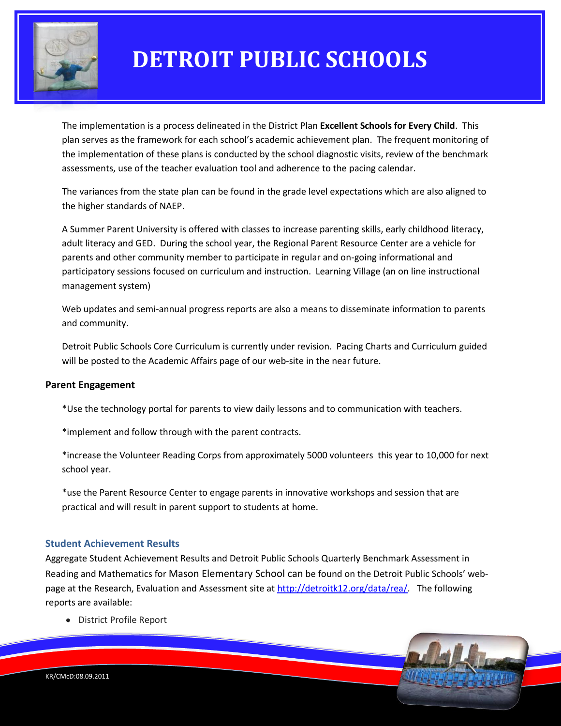

The implementation is a process delineated in the District Plan **Excellent Schools for Every Child**. This plan serves as the framework for each school's academic achievement plan. The frequent monitoring of the implementation of these plans is conducted by the school diagnostic visits, review of the benchmark assessments, use of the teacher evaluation tool and adherence to the pacing calendar.

The variances from the state plan can be found in the grade level expectations which are also aligned to the higher standards of NAEP.

A Summer Parent University is offered with classes to increase parenting skills, early childhood literacy, adult literacy and GED. During the school year, the Regional Parent Resource Center are a vehicle for parents and other community member to participate in regular and on-going informational and participatory sessions focused on curriculum and instruction. Learning Village (an on line instructional management system)

Web updates and semi-annual progress reports are also a means to disseminate information to parents and community.

Detroit Public Schools Core Curriculum is currently under revision. Pacing Charts and Curriculum guided will be posted to the Academic Affairs page of our web-site in the near future.

#### **Parent Engagement**

\*Use the technology portal for parents to view daily lessons and to communication with teachers.

\*implement and follow through with the parent contracts.

\*increase the Volunteer Reading Corps from approximately 5000 volunteers this year to 10,000 for next school year.

\*use the Parent Resource Center to engage parents in innovative workshops and session that are practical and will result in parent support to students at home.

#### **Student Achievement Results**

Aggregate Student Achievement Results and Detroit Public Schools Quarterly Benchmark Assessment in Reading and Mathematics for Mason Elementary School can be found on the Detroit Public Schools' webpage at the Research, Evaluation and Assessment site a[t http://detroitk12.org/data/rea/.](http://detroitk12.org/data/rea/) The following reports are available:

District Profile Report